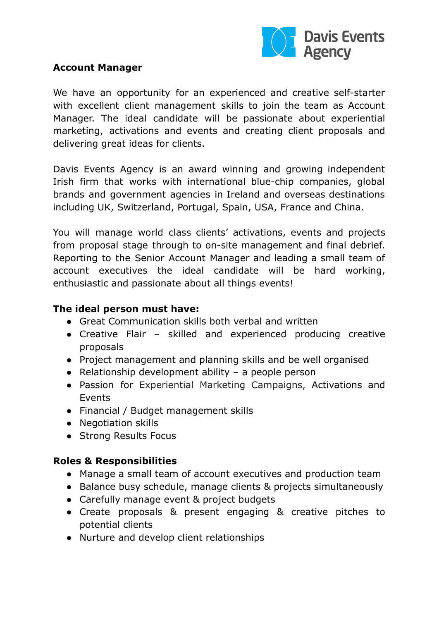

#### **Account Manager**

We have an opportunity for an experienced and creative self-starter with excellent client management skills to join the team as Account Manager. The ideal candidate will be passionate about experiential marketing, activations and events and creating client proposals and delivering great ideas for clients.

Davis Events Agency is an award winning and growing independent Irish firm that works with international blue-chip companies, global brands and government agencies in Ireland and overseas destinations including UK, Switzerland, Portugal, Spain, USA, France and China.

You will manage world class clients' activations, events and projects from proposal stage through to on-site management and final debrief. Reporting to the Senior Account Manager and leading a small team of account executives the ideal candidate will be hard working, enthusiastic and passionate about all things events!

### **The ideal person must have:**

- Great Communication skills both verbal and written
- Creative Flair skilled and experienced producing creative proposals
- Project management and planning skills and be well organised
- $\bullet$  Relationship development ability a people person
- Passion for Experiential Marketing Campaigns, Activations and Events
- Financial / Budget management skills
- Negotiation skills
- Strong Results Focus

# **Roles & Responsibilities**

- Manage a small team of account executives and production team
- Balance busy schedule, manage clients & projects simultaneously
- Carefully manage event & project budgets
- Create proposals & present engaging & creative pitches to potential clients
- Nurture and develop client relationships